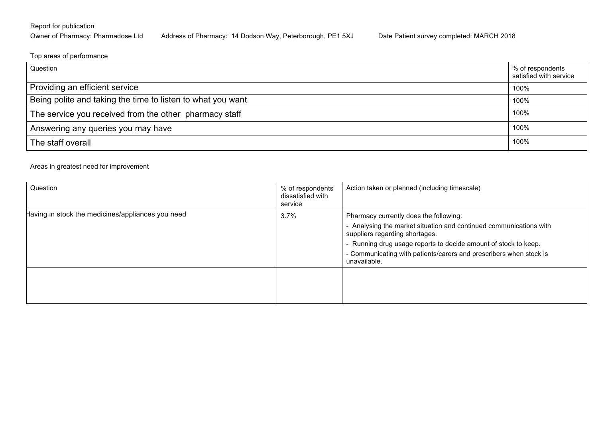## Report for publication

## Owner of Pharmacy: Pharmadose Ltd Address of Pharmacy: 14 Dodson Way, Peterborough, PE1 5XJ Date Patient survey completed: MARCH 2018

Top areas of performance

| Question                                                    | % of respondents<br>satisfied with service |  |  |
|-------------------------------------------------------------|--------------------------------------------|--|--|
| Providing an efficient service                              | 100%                                       |  |  |
| Being polite and taking the time to listen to what you want | 100%                                       |  |  |
| The service you received from the other pharmacy staff      | 100%                                       |  |  |
| Answering any queries you may have                          |                                            |  |  |
| The staff overall                                           |                                            |  |  |

## Areas in greatest need for improvement

| Question                                          | % of respondents<br>dissatisfied with<br>service | Action taken or planned (including timescale)                                                        |
|---------------------------------------------------|--------------------------------------------------|------------------------------------------------------------------------------------------------------|
| Having in stock the medicines/appliances you need | $3.7\%$                                          | Pharmacy currently does the following:                                                               |
|                                                   |                                                  | - Analysing the market situation and continued communications with<br>suppliers regarding shortages. |
|                                                   |                                                  | - Running drug usage reports to decide amount of stock to keep.                                      |
|                                                   |                                                  | - Communicating with patients/carers and prescribers when stock is<br>unavailable.                   |
|                                                   |                                                  |                                                                                                      |
|                                                   |                                                  |                                                                                                      |